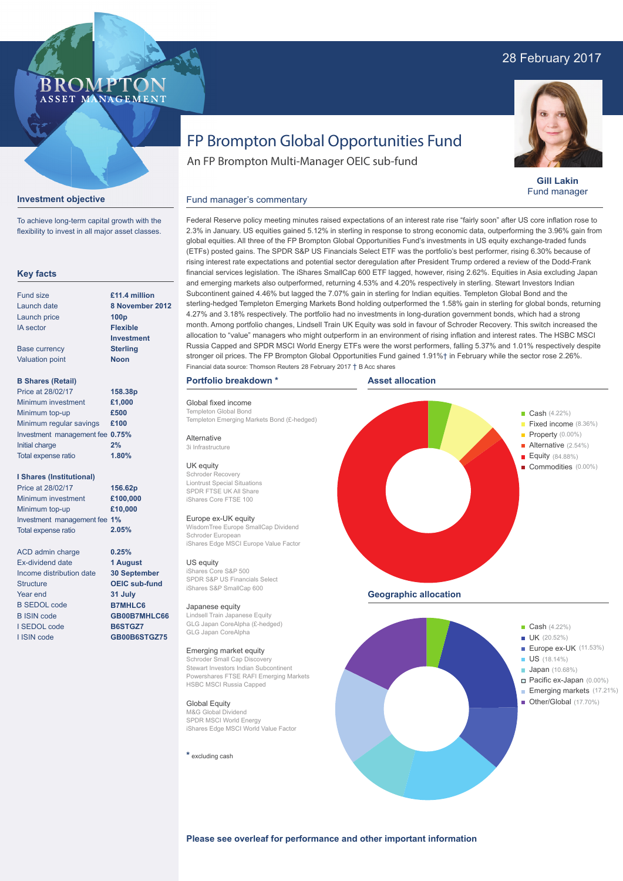# 28 February 2017



**Gill Lakin** Fund manager

# FP Brompton Global Opportunities Fund

Federal Reserve policy meeting minutes raised expectations of an interest rate rise "fairly soon" after US core inflation rose to 2.3% in January. US equities gained 5.12% in sterling in response to strong economic data, outperforming the 3.96% gain from global equities. All three of the FP Brompton Global Opportunities Fund's investments in US equity exchange-traded funds (ETFs) posted gains. The SPDR S&P US Financials Select ETF was the portfolio's best performer, rising 6.30% because of rising interest rate expectations and potential sector deregulation after President Trump ordered a review of the Dodd-Frank financial services legislation. The iShares SmallCap 600 ETF lagged, however, rising 2.62%. Equities in Asia excluding Japan

An FP Brompton Multi-Manager OEIC sub-fund

## **Investment objective**

**BROMP** 

ASSET MANAGEMENT

To achieve long-term capital growth with the flexibility to invest in all major asset classes.

## **Key facts**

| Fund size              | £11.4 million    |
|------------------------|------------------|
| Launch date            | 8 November 20    |
| Launch price           | 100 <sub>p</sub> |
| <b>IA</b> sector       | <b>Flexible</b>  |
|                        | Investment       |
| <b>Base currency</b>   | <b>Sterling</b>  |
| <b>Valuation point</b> | <b>Noon</b>      |
|                        |                  |
|                        |                  |

## **B Shares (Retail)**

| Price at 28/02/17               | 158.38p |
|---------------------------------|---------|
| Minimum investment              | £1,000  |
| Minimum top-up                  | £500    |
| Minimum regular savings         | £100    |
| Investment management fee 0.75% |         |
| Initial charge                  | 2%      |
| Total expense ratio             | 1.80%   |

## **I Shares (Institutional)**

| Price at 28/02/17            | 156.62p  |
|------------------------------|----------|
| Minimum investment           | £100,000 |
| Minimum top-up               | £10,000  |
| Investment management fee 1% |          |
| <b>Total expense ratio</b>   | 2.05%    |
|                              |          |

**0.25% 1 August 30 September OEIC sub-fund 31 July B7MHLC6 GB00B7MHLC66 B6STGZ7 GB00B6STGZ75**

ACD admin charge Ex-dividend date Income distribution date **Structure** Year end B SEDOL code B ISIN code I SEDOL code I ISIN code

## and emerging markets also outperformed, returning 4.53% and 4.20% respectively in sterling. Stewart Investors Indian Subcontinent gained 4.46% but lagged the 7.07% gain in sterling for Indian equities. Templeton Global Bond and the sterling-hedged Templeton Emerging Markets Bond holding outperformed the 1.58% gain in sterling for global bonds, returning 4.27% and 3.18% respectively. The portfolio had no investments in long-duration government bonds, which had a strong month. Among portfolio changes, Lindsell Train UK Equity was sold in favour of Schroder Recovery. This switch increased the allocation to "value" managers who might outperform in an environment of rising inflation and interest rates. The HSBC MSCI Russia Capped and SPDR MSCI World Energy ETFs were the worst performers, falling 5.37% and 1.01% respectively despite **8 November 2012**

### **Portfolio breakdown \***

Global fixed income Templeton Global Bon Templeton Emerging Markets Bond (£-hedged)

Fund manager's commentary

Alternative 3i Infrastructure

### UK equity

Schroder Recovery Liontrust Special Situations SPDR FTSE UK All Share iShares Core FTSE 100

#### Europe ex-UK equity

WisdomTree Europe SmallCap Dividend Schroder European iShares Edge MSCI Europe Value Factor

#### US equity

iShares Core S&P 500 SPDR S&P US Financials Select iShares S&P SmallCap 600

#### Japanese equity

Lindsell Train Japanese Equity GLG Japan CoreAlpha (£-hedged) GLG Japan CoreAlpha

#### Emerging market equity

Schroder Small Cap Discovery Stewart Investors Indian Subcontinent Powershares FTSE RAFI Emerging Markets HSBC MSCI Russia Capped

## Global Equity

M&G Global Dividend SPDR MSCI World Energy iShares Edge MSCI World Value Factor

**\*** excluding cash





**Please see overleaf for performance and other important information**